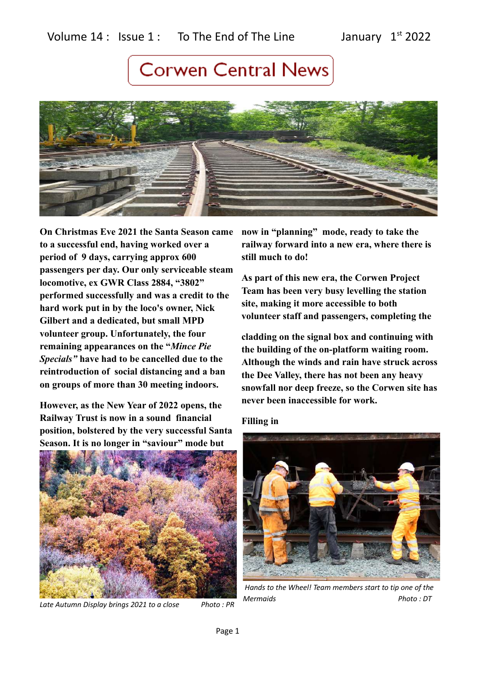

**On Christmas Eve 2021 the Santa Season came to a successful end, having worked over a period of 9 days, carrying approx 600 passengers per day. Our only serviceable steam locomotive, ex GWR Class 2884, "3802" performed successfully and was a credit to the hard work put in by the loco's owner, Nick Gilbert and a dedicated, but small MPD volunteer group. Unfortunately, the four remaining appearances on the "***Mince Pie Specials"* **have had to be cancelled due to the reintroduction of social distancing and a ban on groups of more than 30 meeting indoors.**

**However, as the New Year of 2022 opens, the Railway Trust is now in a sound financial position, bolstered by the very successful Santa Season. It is no longer in "saviour" mode but** 



*Late Autumn Display brings 2021 to a close Photo : PR*

**now in "planning" mode, ready to take the railway forward into a new era, where there is still much to do!**

**As part of this new era, the Corwen Project Team has been very busy levelling the station site, making it more accessible to both volunteer staff and passengers, completing the** 

**cladding on the signal box and continuing with the building of the on-platform waiting room. Although the winds and rain have struck across the Dee Valley, there has not been any heavy snowfall nor deep freeze, so the Corwen site has never been inaccessible for work.**

**Filling in**



 *Hands to the Wheel! Team members start to tip one of the Mermaids Photo : DT*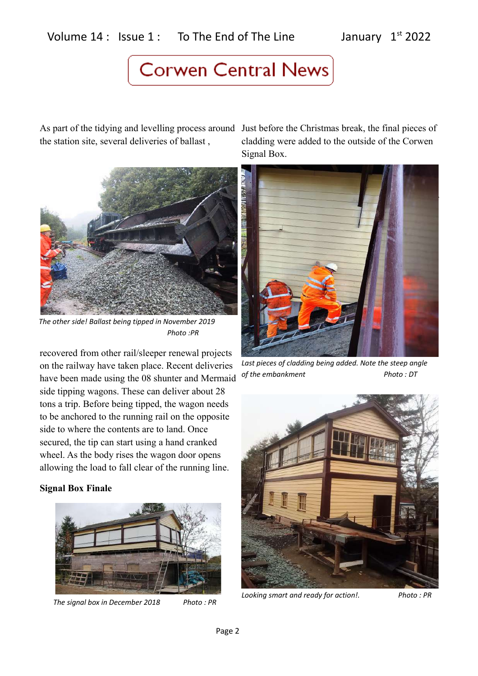## Volume  $14$  : Issue  $1$  : To The End of The Line January  $1^{st}$  2022

## **Corwen Central News**

As part of the tidying and levelling process around Just before the Christmas break, the final pieces of the station site, several deliveries of ballast ,



*The other side! Ballast being tipped in November 2019 Photo :PR*

recovered from other rail/sleeper renewal projects on the railway have taken place. Recent deliveries have been made using the 08 shunter and Mermaid side tipping wagons. These can deliver about 28 tons a trip. Before being tipped, the wagon needs to be anchored to the running rail on the opposite side to where the contents are to land. Once secured, the tip can start using a hand cranked wheel. As the body rises the wagon door opens allowing the load to fall clear of the running line.

#### **Signal Box Finale**



*The signal box in December 2018 Photo : PR*

cladding were added to the outside of the Corwen Signal Box.



*Last pieces of cladding being added. Note the steep angle of the embankment* Photo : DT



*Looking smart and ready for action!. Photo : PR*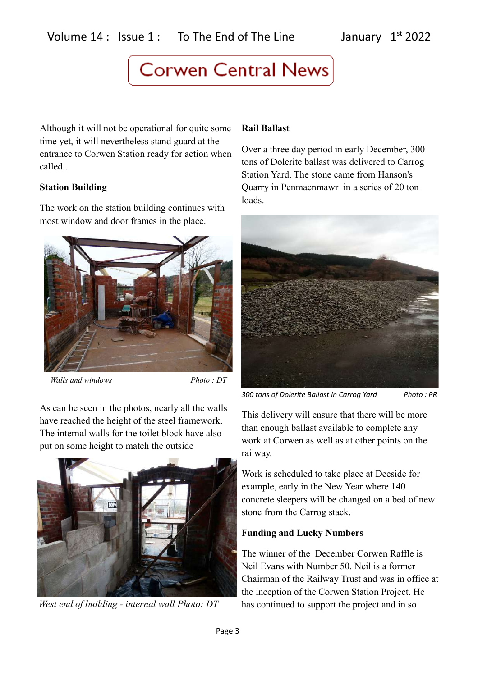Although it will not be operational for quite some time yet, it will nevertheless stand guard at the entrance to Corwen Station ready for action when called..

#### **Station Building**

The work on the station building continues with most window and door frames in the place.



*Walls and windows Photo : DT*

As can be seen in the photos, nearly all the walls have reached the height of the steel framework. The internal walls for the toilet block have also put on some height to match the outside



*West end of building - internal wall Photo: DT*

### **Rail Ballast**

Over a three day period in early December, 300 tons of Dolerite ballast was delivered to Carrog Station Yard. The stone came from Hanson's Quarry in Penmaenmawr in a series of 20 ton loads.



*300 tons of Dolerite Ballast in Carrog Yard Photo : PR*

This delivery will ensure that there will be more than enough ballast available to complete any work at Corwen as well as at other points on the railway.

Work is scheduled to take place at Deeside for example, early in the New Year where 140 concrete sleepers will be changed on a bed of new stone from the Carrog stack.

### **Funding and Lucky Numbers**

The winner of the December Corwen Raffle is Neil Evans with Number 50. Neil is a former Chairman of the Railway Trust and was in office at the inception of the Corwen Station Project. He has continued to support the project and in so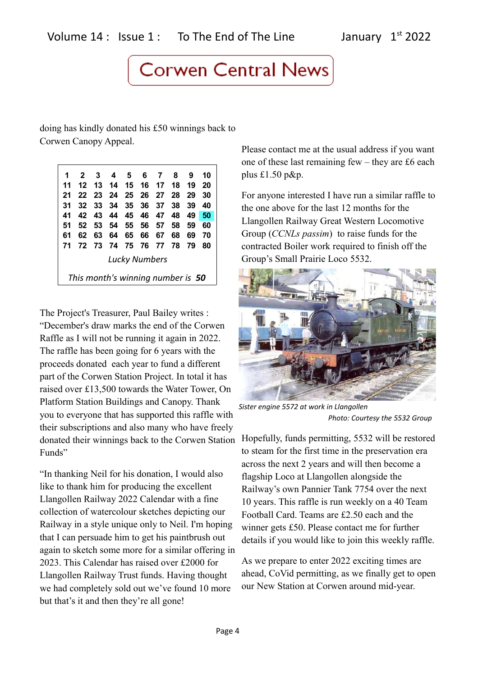doing has kindly donated his £50 winnings back to Corwen Canopy Appeal.

| 1                                 | $\mathbf{2}$ | -3   | $\overline{\mathbf{4}}$ | 567   |          |       | 8    | 9  | 10 |
|-----------------------------------|--------------|------|-------------------------|-------|----------|-------|------|----|----|
| 11                                | 12           | -13  | 14 15 16                |       |          | $-17$ | - 18 | 19 | 20 |
| 21                                | 22           | - 23 | - 24                    | 25 26 |          | 27    | - 28 | 29 | 30 |
| 31                                | 32           | 33   | -34                     |       | 35 36 37 |       | 38   | 39 | 40 |
| 41                                | 42           | 43   | 44                      | - 45  | 46 47    |       | 48   | 49 | 50 |
| 51                                | 52           | 53   | 54                      | 55    | 56       | 57    | 58   | 59 | 60 |
| 61                                | 62           | 63   | 64                      | 65    | 66       | 67    | 68   | 69 | 70 |
| 71                                | 72 73        |      | - 74                    | 75 76 |          | 77 78 |      | 79 | 80 |
| Lucky Numbers                     |              |      |                         |       |          |       |      |    |    |
| This month's winning number is 50 |              |      |                         |       |          |       |      |    |    |

The Project's Treasurer, Paul Bailey writes : "December's draw marks the end of the Corwen Raffle as I will not be running it again in 2022. The raffle has been going for 6 years with the proceeds donated each year to fund a different part of the Corwen Station Project. In total it has raised over £13,500 towards the Water Tower, On Platform Station Buildings and Canopy. Thank you to everyone that has supported this raffle with their subscriptions and also many who have freely donated their winnings back to the Corwen Station Funds"

"In thanking Neil for his donation, I would also like to thank him for producing the excellent Llangollen Railway 2022 Calendar with a fine collection of watercolour sketches depicting our Railway in a style unique only to Neil. I'm hoping that I can persuade him to get his paintbrush out again to sketch some more for a similar offering in 2023. This Calendar has raised over £2000 for Llangollen Railway Trust funds. Having thought we had completely sold out we've found 10 more but that's it and then they're all gone!

Please contact me at the usual address if you want one of these last remaining few – they are £6 each plus £1.50 p&p.

For anyone interested I have run a similar raffle to the one above for the last 12 months for the Llangollen Railway Great Western Locomotive Group (*CCNLs passim*) to raise funds for the contracted Boiler work required to finish off the Group's Small Prairie Loco 5532.



*Sister engine 5572 at work in Llangollen Photo: Courtesy the 5532 Group*

Hopefully, funds permitting, 5532 will be restored to steam for the first time in the preservation era across the next 2 years and will then become a flagship Loco at Llangollen alongside the Railway's own Pannier Tank 7754 over the next 10 years. This raffle is run weekly on a 40 Team Football Card. Teams are £2.50 each and the winner gets £50. Please contact me for further details if you would like to join this weekly raffle.

As we prepare to enter 2022 exciting times are ahead, CoVid permitting, as we finally get to open our New Station at Corwen around mid-year.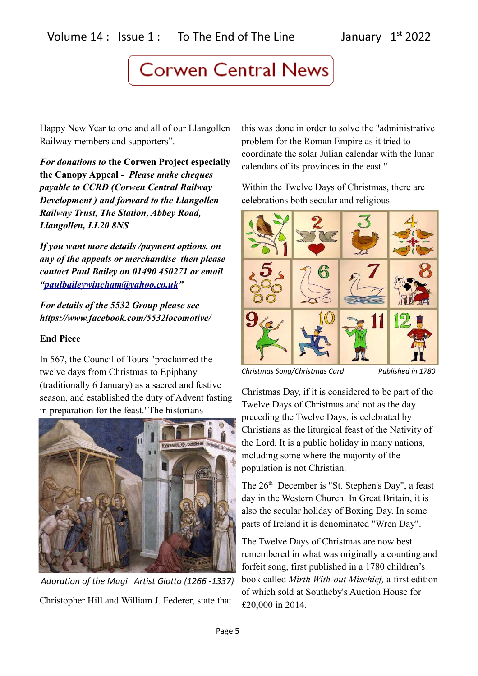Happy New Year to one and all of our Llangollen Railway members and supporters".

*For donations to* **the Corwen Project especially the Canopy Appeal -** *Please make cheques payable to CCRD (Corwen Central Railway Development ) and forward to the Llangollen Railway Trust, The Station, Abbey Road, Llangollen, LL20 8NS*

*If you want more details /payment options. on any of the appeals or merchandise then please contact Paul Bailey on 01490 450271 or email ["paulbaileywincham@yahoo.co.uk"](mailto:paulbaileywincham@yahoo.co.uk)*

*For details of the 5532 Group please see https://www.facebook.com/5532locomotive/*

### **End Piece**

In 567, the Council of Tours "proclaimed the twelve days from Christmas to Epiphany (traditionally 6 January) as a sacred and festive season, and established the duty of Advent fasting in preparation for the feast."The historians



Christopher Hill and William J. Federer, state that  *Adoration of the Magi Artist Giotto (1266 -1337)*

this was done in order to solve the "administrative problem for the Roman Empire as it tried to coordinate the solar Julian calendar with the lunar calendars of its provinces in the east."

Within the Twelve Days of Christmas, there are celebrations both secular and religious.



*Christmas Song/Christmas Card Published in 1780*

Christmas Day, if it is considered to be part of the Twelve Days of Christmas and not as the day preceding the Twelve Days, is celebrated by Christians as the liturgical feast of the Nativity of the Lord. It is a public holiday in many nations, including some where the majority of the population is not Christian.

The 26<sup>th</sup> December is "St. Stephen's Day", a feast day in the Western Church. In Great Britain, it is also the secular holiday of Boxing Day. In some parts of Ireland it is denominated "Wren Day".

The Twelve Days of Christmas are now best remembered in what was originally a counting and forfeit song, first published in a 1780 children's book called *Mirth With-out Mischief,* a first edition of which sold at Southeby's Auction House for £20,000 in 2014.